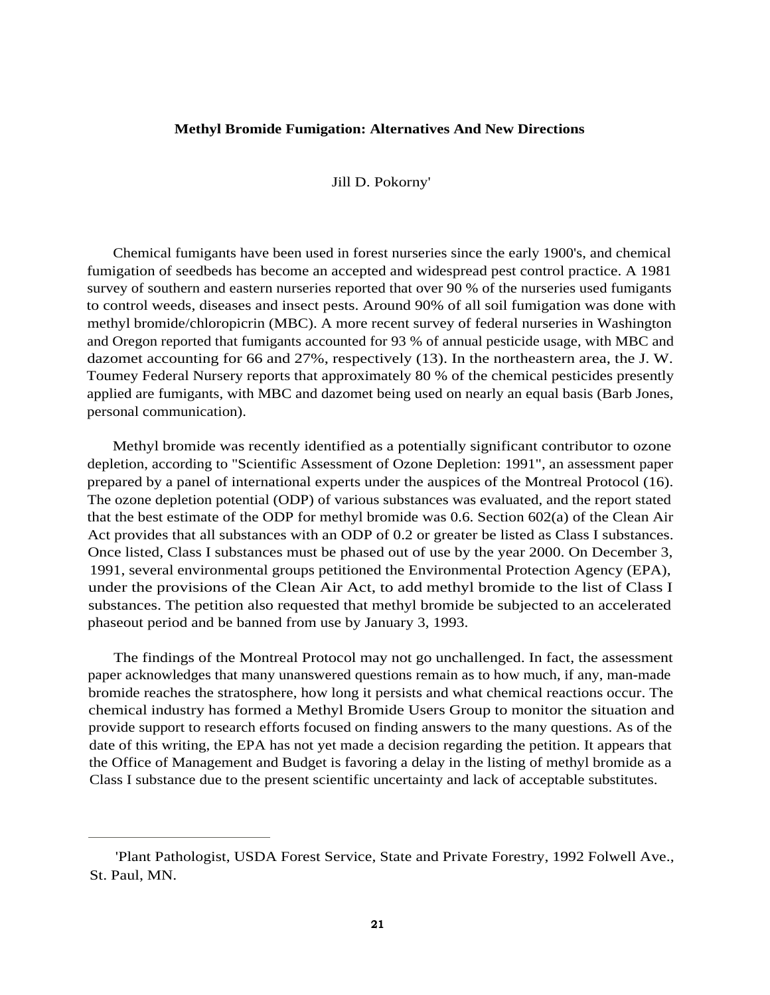#### **Methyl Bromide Fumigation: Alternatives And New Directions**

Jill D. Pokorny'

Chemical fumigants have been used in forest nurseries since the early 1900's, and chemical fumigation of seedbeds has become an accepted and widespread pest control practice. A 1981 survey of southern and eastern nurseries reported that over 90 % of the nurseries used fumigants to control weeds, diseases and insect pests. Around 90% of all soil fumigation was done with methyl bromide/chloropicrin (MBC). A more recent survey of federal nurseries in Washington and Oregon reported that fumigants accounted for 93 % of annual pesticide usage, with MBC and dazomet accounting for 66 and 27%, respectively (13). In the northeastern area, the J. W. Toumey Federal Nursery reports that approximately 80 % of the chemical pesticides presently applied are fumigants, with MBC and dazomet being used on nearly an equal basis (Barb Jones, personal communication).

Methyl bromide was recently identified as a potentially significant contributor to ozone depletion, according to "Scientific Assessment of Ozone Depletion: 1991", an assessment paper prepared by a panel of international experts under the auspices of the Montreal Protocol (16). The ozone depletion potential (ODP) of various substances was evaluated, and the report stated that the best estimate of the ODP for methyl bromide was 0.6. Section 602(a) of the Clean Air Act provides that all substances with an ODP of 0.2 or greater be listed as Class I substances. Once listed, Class I substances must be phased out of use by the year 2000. On December 3, 1991, several environmental groups petitioned the Environmental Protection Agency (EPA), under the provisions of the Clean Air Act, to add methyl bromide to the list of Class I substances. The petition also requested that methyl bromide be subjected to an accelerated phaseout period and be banned from use by January 3, 1993.

The findings of the Montreal Protocol may not go unchallenged. In fact, the assessment paper acknowledges that many unanswered questions remain as to how much, if any, man-made bromide reaches the stratosphere, how long it persists and what chemical reactions occur. The chemical industry has formed a Methyl Bromide Users Group to monitor the situation and provide support to research efforts focused on finding answers to the many questions. As of the date of this writing, the EPA has not yet made a decision regarding the petition. It appears that the Office of Management and Budget is favoring a delay in the listing of methyl bromide as a Class I substance due to the present scientific uncertainty and lack of acceptable substitutes.

<sup>&#</sup>x27;Plant Pathologist, USDA Forest Service, State and Private Forestry, 1992 Folwell Ave., St. Paul, MN.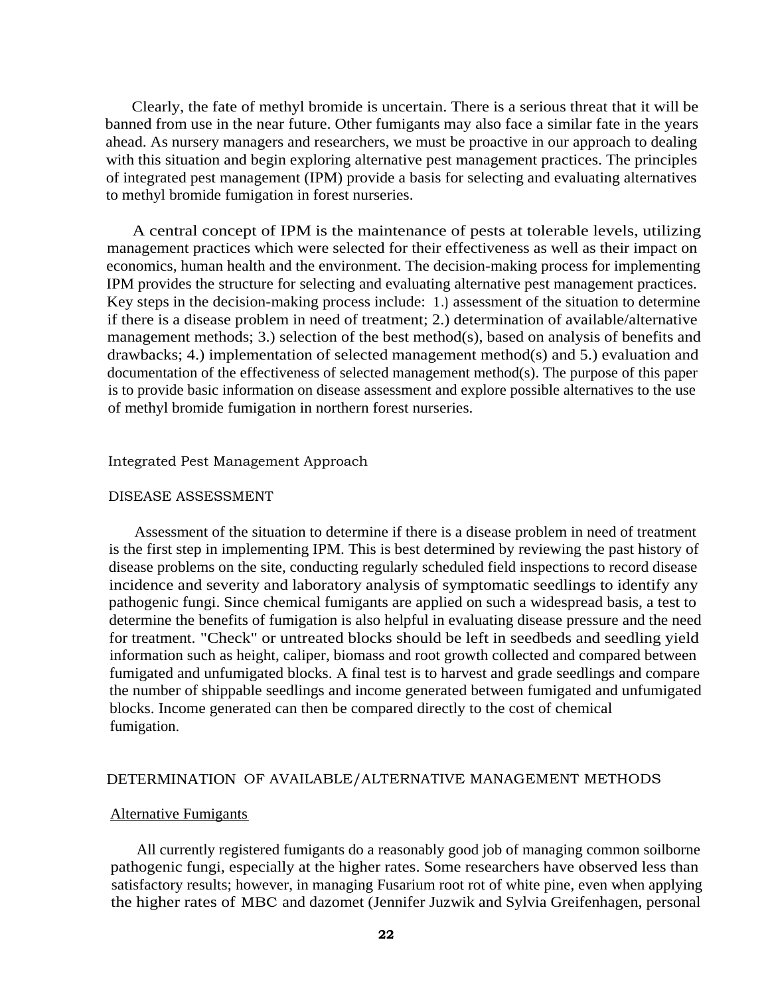Clearly, the fate of methyl bromide is uncertain. There is a serious threat that it will be banned from use in the near future. Other fumigants may also face a similar fate in the years ahead. As nursery managers and researchers, we must be proactive in our approach to dealing with this situation and begin exploring alternative pest management practices. The principles of integrated pest management (IPM) provide a basis for selecting and evaluating alternatives to methyl bromide fumigation in forest nurseries.

A central concept of IPM is the maintenance of pests at tolerable levels, utilizing management practices which were selected for their effectiveness as well as their impact on economics, human health and the environment. The decision-making process for implementing IPM provides the structure for selecting and evaluating alternative pest management practices. Key steps in the decision-making process include: 1.) assessment of the situation to determine if there is a disease problem in need of treatment; 2.) determination of available/alternative management methods; 3.) selection of the best method(s), based on analysis of benefits and drawbacks; 4.) implementation of selected management method(s) and 5.) evaluation and documentation of the effectiveness of selected management method(s). The purpose of this paper is to provide basic information on disease assessment and explore possible alternatives to the use of methyl bromide fumigation in northern forest nurseries.

#### Integrated Pest Management Approach

### DISEASE ASSESSMENT

Assessment of the situation to determine if there is a disease problem in need of treatment is the first step in implementing IPM. This is best determined by reviewing the past history of disease problems on the site, conducting regularly scheduled field inspections to record disease incidence and severity and laboratory analysis of symptomatic seedlings to identify any pathogenic fungi. Since chemical fumigants are applied on such a widespread basis, a test to determine the benefits of fumigation is also helpful in evaluating disease pressure and the need for treatment. "Check" or untreated blocks should be left in seedbeds and seedling yield information such as height, caliper, biomass and root growth collected and compared between fumigated and unfumigated blocks. A final test is to harvest and grade seedlings and compare the number of shippable seedlings and income generated between fumigated and unfumigated blocks. Income generated can then be compared directly to the cost of chemical fumigation.

## DETERMINATION OF AVAILABLE/ALTERNATIVE MANAGEMENT METHODS

#### Alternative Fumigants

All currently registered fumigants do a reasonably good job of managing common soilborne pathogenic fungi, especially at the higher rates. Some researchers have observed less than satisfactory results; however, in managing Fusarium root rot of white pine, even when applying the higher rates of MBC and dazomet (Jennifer Juzwik and Sylvia Greifenhagen, personal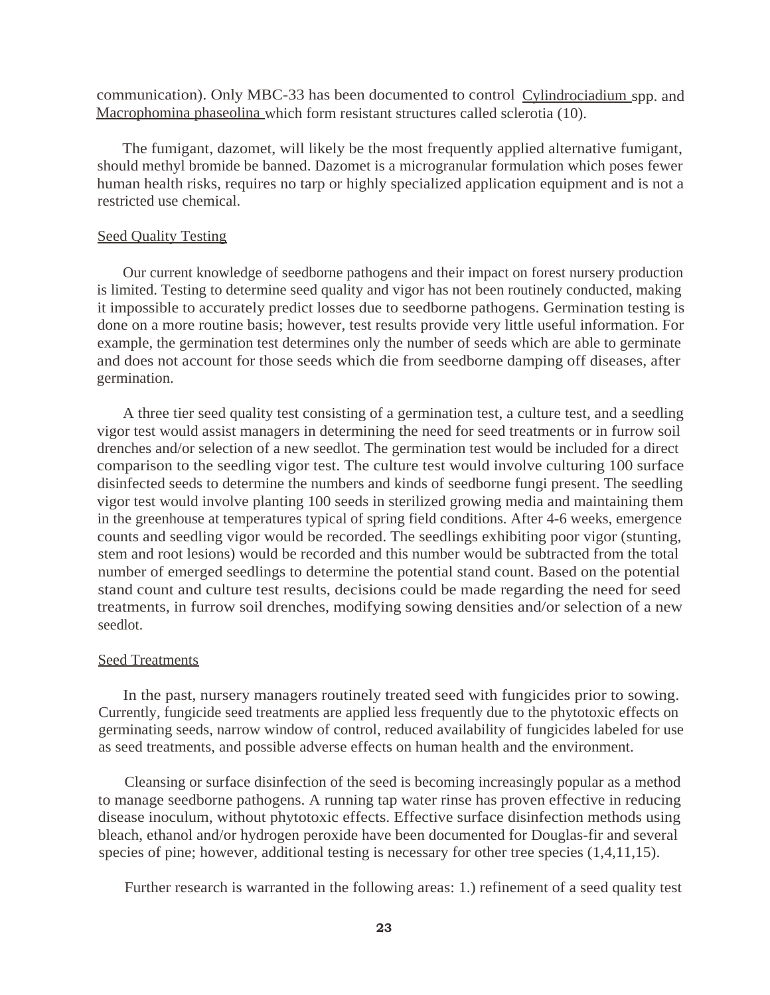communication). Only MBC-33 has been documented to control Cylindrociadium spp. and Macrophomina phaseolina which form resistant structures called sclerotia (10).

The fumigant, dazomet, will likely be the most frequently applied alternative fumigant, should methyl bromide be banned. Dazomet is a microgranular formulation which poses fewer human health risks, requires no tarp or highly specialized application equipment and is not a restricted use chemical.

# Seed Quality Testing

Our current knowledge of seedborne pathogens and their impact on forest nursery production is limited. Testing to determine seed quality and vigor has not been routinely conducted, making it impossible to accurately predict losses due to seedborne pathogens. Germination testing is done on a more routine basis; however, test results provide very little useful information. For example, the germination test determines only the number of seeds which are able to germinate and does not account for those seeds which die from seedborne damping off diseases, after germination.

A three tier seed quality test consisting of a germination test, a culture test, and a seedling vigor test would assist managers in determining the need for seed treatments or in furrow soil drenches and/or selection of a new seedlot. The germination test would be included for a direct comparison to the seedling vigor test. The culture test would involve culturing 100 surface disinfected seeds to determine the numbers and kinds of seedborne fungi present. The seedling vigor test would involve planting 100 seeds in sterilized growing media and maintaining them in the greenhouse at temperatures typical of spring field conditions. After 4-6 weeks, emergence counts and seedling vigor would be recorded. The seedlings exhibiting poor vigor (stunting, stem and root lesions) would be recorded and this number would be subtracted from the total number of emerged seedlings to determine the potential stand count. Based on the potential stand count and culture test results, decisions could be made regarding the need for seed treatments, in furrow soil drenches, modifying sowing densities and/or selection of a new seedlot.

## Seed Treatments

In the past, nursery managers routinely treated seed with fungicides prior to sowing. Currently, fungicide seed treatments are applied less frequently due to the phytotoxic effects on germinating seeds, narrow window of control, reduced availability of fungicides labeled for use as seed treatments, and possible adverse effects on human health and the environment.

Cleansing or surface disinfection of the seed is becoming increasingly popular as a method to manage seedborne pathogens. A running tap water rinse has proven effective in reducing disease inoculum, without phytotoxic effects. Effective surface disinfection methods using bleach, ethanol and/or hydrogen peroxide have been documented for Douglas-fir and several species of pine; however, additional testing is necessary for other tree species  $(1,4,11,15)$ .

Further research is warranted in the following areas: 1.) refinement of a seed quality test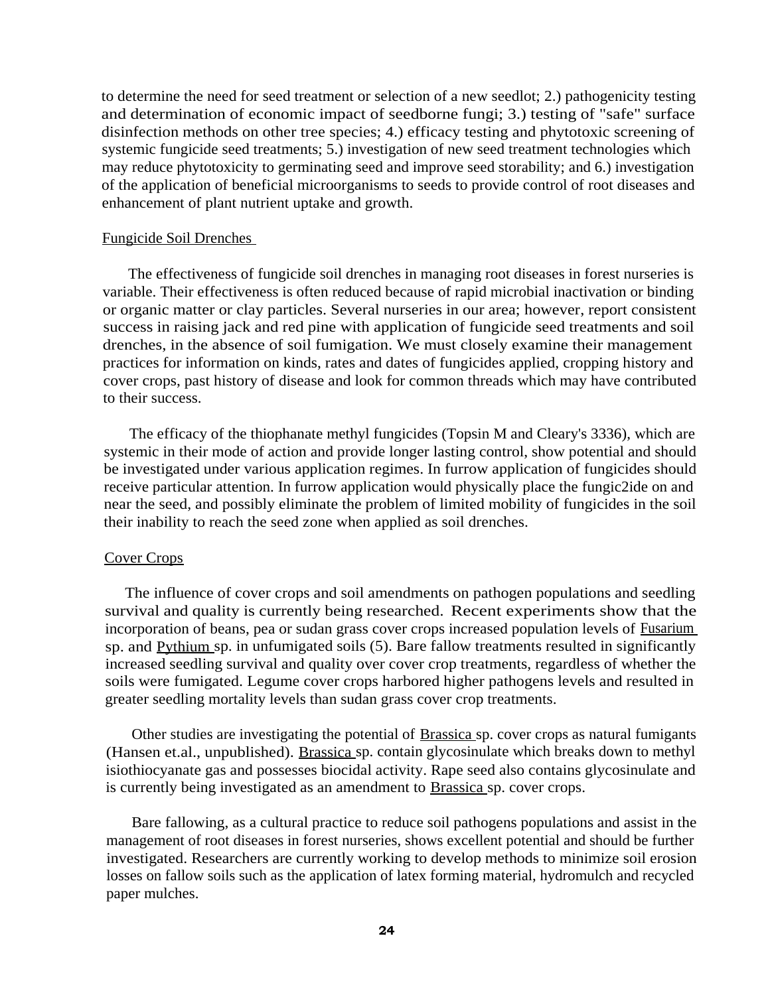to determine the need for seed treatment or selection of a new seedlot; 2.) pathogenicity testing and determination of economic impact of seedborne fungi; 3.) testing of "safe" surface disinfection methods on other tree species; 4.) efficacy testing and phytotoxic screening of systemic fungicide seed treatments; 5.) investigation of new seed treatment technologies which may reduce phytotoxicity to germinating seed and improve seed storability; and 6.) investigation of the application of beneficial microorganisms to seeds to provide control of root diseases and enhancement of plant nutrient uptake and growth.

# Fungicide Soil Drenches

The effectiveness of fungicide soil drenches in managing root diseases in forest nurseries is variable. Their effectiveness is often reduced because of rapid microbial inactivation or binding or organic matter or clay particles. Several nurseries in our area; however, report consistent success in raising jack and red pine with application of fungicide seed treatments and soil drenches, in the absence of soil fumigation. We must closely examine their management practices for information on kinds, rates and dates of fungicides applied, cropping history and cover crops, past history of disease and look for common threads which may have contributed to their success.

The efficacy of the thiophanate methyl fungicides (Topsin M and Cleary's 3336), which are systemic in their mode of action and provide longer lasting control, show potential and should be investigated under various application regimes. In furrow application of fungicides should receive particular attention. In furrow application would physically place the fungic2ide on and near the seed, and possibly eliminate the problem of limited mobility of fungicides in the soil their inability to reach the seed zone when applied as soil drenches.

# Cover Crops

The influence of cover crops and soil amendments on pathogen populations and seedling survival and quality is currently being researched. Recent experiments show that the incorporation of beans, pea or sudan grass cover crops increased population levels of Fusarium sp. and Pythium sp. in unfumigated soils (5). Bare fallow treatments resulted in significantly increased seedling survival and quality over cover crop treatments, regardless of whether the soils were fumigated. Legume cover crops harbored higher pathogens levels and resulted in greater seedling mortality levels than sudan grass cover crop treatments.

Other studies are investigating the potential of Brassica sp. cover crops as natural fumigants (Hansen et.al., unpublished). Brassica sp. contain glycosinulate which breaks down to methyl isiothiocyanate gas and possesses biocidal activity. Rape seed also contains glycosinulate and is currently being investigated as an amendment to Brassica sp. cover crops.

Bare fallowing, as a cultural practice to reduce soil pathogens populations and assist in the management of root diseases in forest nurseries, shows excellent potential and should be further investigated. Researchers are currently working to develop methods to minimize soil erosion losses on fallow soils such as the application of latex forming material, hydromulch and recycled paper mulches.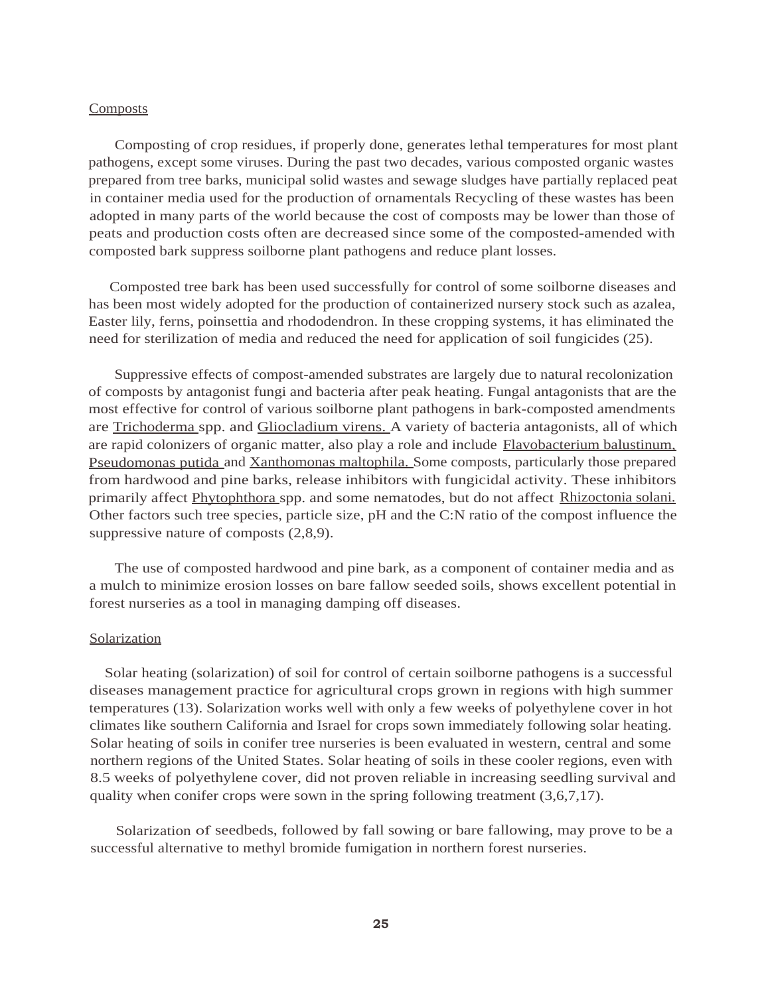#### Composts

Composting of crop residues, if properly done, generates lethal temperatures for most plant pathogens, except some viruses. During the past two decades, various composted organic wastes prepared from tree barks, municipal solid wastes and sewage sludges have partially replaced peat in container media used for the production of ornamentals Recycling of these wastes has been adopted in many parts of the world because the cost of composts may be lower than those of peats and production costs often are decreased since some of the composted-amended with composted bark suppress soilborne plant pathogens and reduce plant losses.

Composted tree bark has been used successfully for control of some soilborne diseases and has been most widely adopted for the production of containerized nursery stock such as azalea, Easter lily, ferns, poinsettia and rhododendron. In these cropping systems, it has eliminated the need for sterilization of media and reduced the need for application of soil fungicides (25).

Suppressive effects of compost-amended substrates are largely due to natural recolonization of composts by antagonist fungi and bacteria after peak heating. Fungal antagonists that are the most effective for control of various soilborne plant pathogens in bark-composted amendments are Trichoderma spp. and Gliocladium virens. A variety of bacteria antagonists, all of which are rapid colonizers of organic matter, also play a role and include Flavobacterium balustinum, Pseudomonas putida and Xanthomonas maltophila. Some composts, particularly those prepared from hardwood and pine barks, release inhibitors with fungicidal activity. These inhibitors primarily affect Phytophthora spp. and some nematodes, but do not affect Rhizoctonia solani. Other factors such tree species, particle size, pH and the C:N ratio of the compost influence the suppressive nature of composts (2,8,9).

The use of composted hardwood and pine bark, as a component of container media and as a mulch to minimize erosion losses on bare fallow seeded soils, shows excellent potential in forest nurseries as a tool in managing damping off diseases.

### Solarization

Solar heating (solarization) of soil for control of certain soilborne pathogens is a successful diseases management practice for agricultural crops grown in regions with high summer temperatures (13). Solarization works well with only a few weeks of polyethylene cover in hot climates like southern California and Israel for crops sown immediately following solar heating. Solar heating of soils in conifer tree nurseries is been evaluated in western, central and some northern regions of the United States. Solar heating of soils in these cooler regions, even with 8.5 weeks of polyethylene cover, did not proven reliable in increasing seedling survival and quality when conifer crops were sown in the spring following treatment  $(3,6,7,17)$ .

Solarization of seedbeds, followed by fall sowing or bare fallowing, may prove to be a successful alternative to methyl bromide fumigation in northern forest nurseries.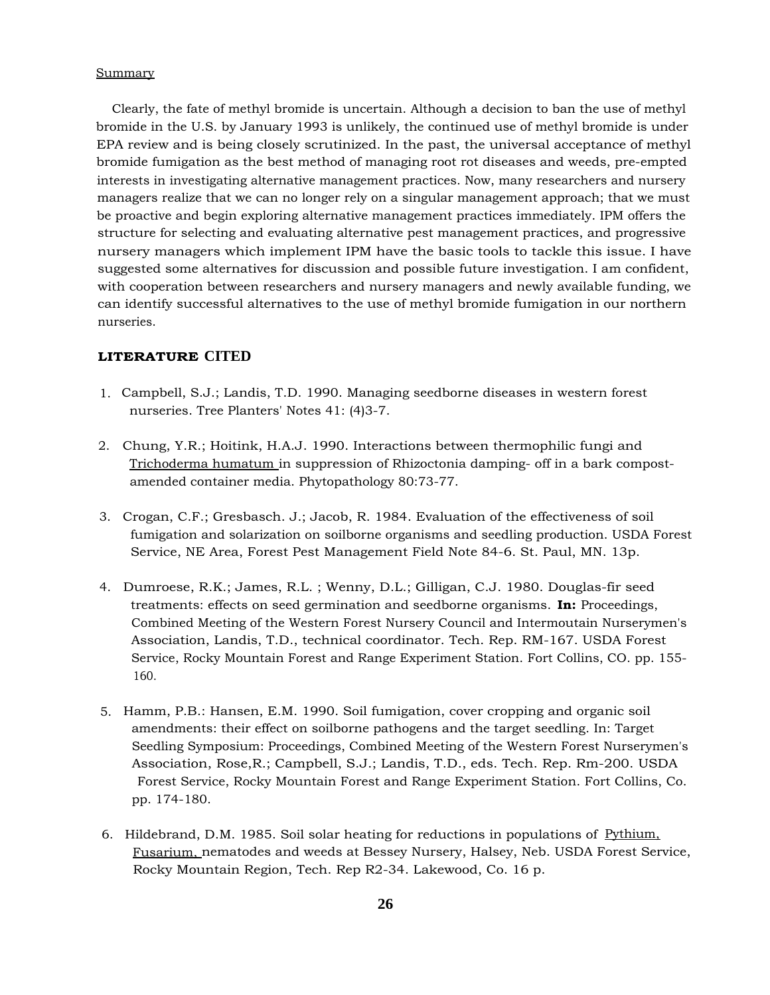#### **Summary**

Clearly, the fate of methyl bromide is uncertain. Although a decision to ban the use of methyl bromide in the U.S. by January 1993 is unlikely, the continued use of methyl bromide is under EPA review and is being closely scrutinized. In the past, the universal acceptance of methyl bromide fumigation as the best method of managing root rot diseases and weeds, pre-empted interests in investigating alternative management practices. Now, many researchers and nursery managers realize that we can no longer rely on a singular management approach; that we must be proactive and begin exploring alternative management practices immediately. IPM offers the structure for selecting and evaluating alternative pest management practices, and progressive nursery managers which implement IPM have the basic tools to tackle this issue. I have suggested some alternatives for discussion and possible future investigation. I am confident, with cooperation between researchers and nursery managers and newly available funding, we can identify successful alternatives to the use of methyl bromide fumigation in our northern nurseries.

## **LITERATURE CITED**

- 1. Campbell, S.J.; Landis, T.D. 1990. Managing seedborne diseases in western forest nurseries. Tree Planters' Notes 41: (4)3-7.
- 2. Chung, Y.R.; Hoitink, H.A.J. 1990. Interactions between thermophilic fungi and Trichoderma humatum in suppression of Rhizoctonia damping- off in a bark compostamended container media. Phytopathology 80:73-77.
- 3. Crogan, C.F.; Gresbasch. J.; Jacob, R. 1984. Evaluation of the effectiveness of soil fumigation and solarization on soilborne organisms and seedling production. USDA Forest Service, NE Area, Forest Pest Management Field Note 84-6. St. Paul, MN. 13p.
- 4. Dumroese, R.K.; James, R.L. ; Wenny, D.L.; Gilligan, C.J. 1980. Douglas-fir seed treatments: effects on seed germination and seedborne organisms. **In:** Proceedings, Combined Meeting of the Western Forest Nursery Council and Intermoutain Nurserymen's Association, Landis, T.D., technical coordinator. Tech. Rep. RM-167. USDA Forest Service, Rocky Mountain Forest and Range Experiment Station. Fort Collins, CO. pp. 155- 160.
- 5. Hamm, P.B.: Hansen, E.M. 1990. Soil fumigation, cover cropping and organic soil amendments: their effect on soilborne pathogens and the target seedling. In: Target Seedling Symposium: Proceedings, Combined Meeting of the Western Forest Nurserymen's Association, Rose,R.; Campbell, S.J.; Landis, T.D., eds. Tech. Rep. Rm-200. USDA Forest Service, Rocky Mountain Forest and Range Experiment Station. Fort Collins, Co. pp. 174-180.
- 6. Hildebrand, D.M. 1985. Soil solar heating for reductions in populations of Pythium, Fusarium, nematodes and weeds at Bessey Nursery, Halsey, Neb. USDA Forest Service, Rocky Mountain Region, Tech. Rep R2-34. Lakewood, Co. 16 p.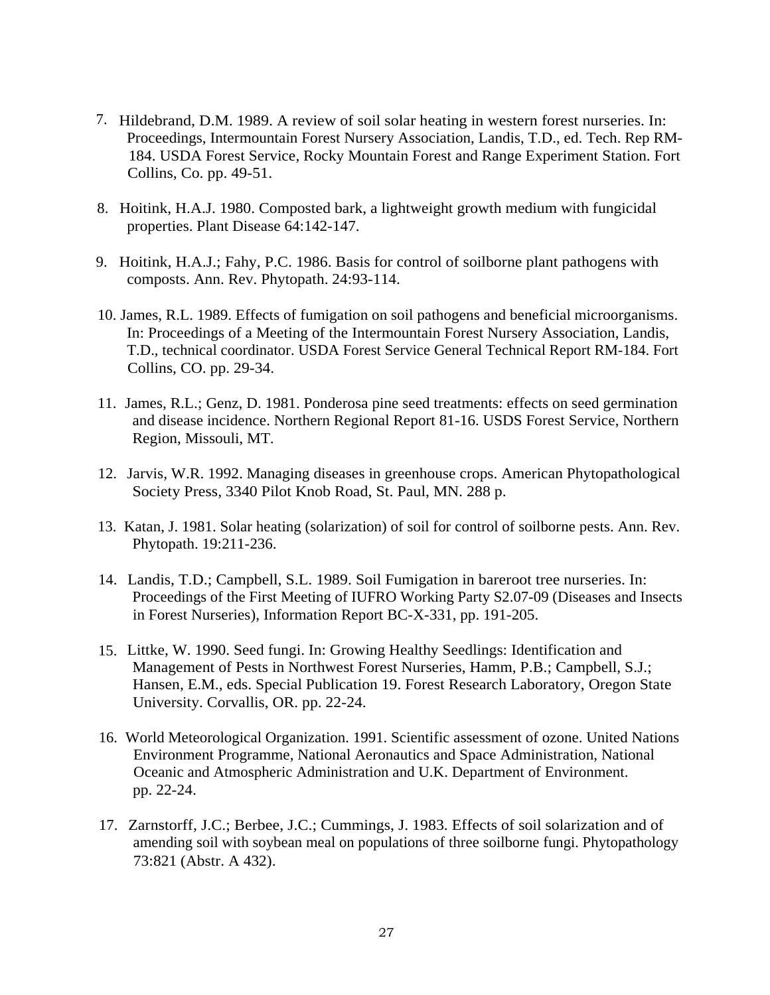- 7. Hildebrand, D.M. 1989. A review of soil solar heating in western forest nurseries. In: Proceedings, Intermountain Forest Nursery Association, Landis, T.D., ed. Tech. Rep RM-184. USDA Forest Service, Rocky Mountain Forest and Range Experiment Station. Fort Collins, Co. pp. 49-51.
- 8. Hoitink, H.A.J. 1980. Composted bark, a lightweight growth medium with fungicidal properties. Plant Disease 64:142-147.
- 9. Hoitink, H.A.J.; Fahy, P.C. 1986. Basis for control of soilborne plant pathogens with composts. Ann. Rev. Phytopath. 24:93-114.
- 10. James, R.L. 1989. Effects of fumigation on soil pathogens and beneficial microorganisms. In: Proceedings of a Meeting of the Intermountain Forest Nursery Association, Landis, T.D., technical coordinator. USDA Forest Service General Technical Report RM-184. Fort Collins, CO. pp. 29-34.
- 11. James, R.L.; Genz, D. 1981. Ponderosa pine seed treatments: effects on seed germination and disease incidence. Northern Regional Report 81-16. USDS Forest Service, Northern Region, Missouli, MT.
- 12. Jarvis, W.R. 1992. Managing diseases in greenhouse crops. American Phytopathological Society Press, 3340 Pilot Knob Road, St. Paul, MN. 288 p.
- 13. Katan, J. 1981. Solar heating (solarization) of soil for control of soilborne pests. Ann. Rev. Phytopath. 19:211-236.
- 14. Landis, T.D.; Campbell, S.L. 1989. Soil Fumigation in bareroot tree nurseries. In: Proceedings of the First Meeting of IUFRO Working Party S2.07-09 (Diseases and Insects in Forest Nurseries), Information Report BC-X-331, pp. 191-205.
- 15. Littke, W. 1990. Seed fungi. In: Growing Healthy Seedlings: Identification and Management of Pests in Northwest Forest Nurseries, Hamm, P.B.; Campbell, S.J.; Hansen, E.M., eds. Special Publication 19. Forest Research Laboratory, Oregon State University. Corvallis, OR. pp. 22-24.
- 16. World Meteorological Organization. 1991. Scientific assessment of ozone. United Nations Environment Programme, National Aeronautics and Space Administration, National Oceanic and Atmospheric Administration and U.K. Department of Environment. pp. 22-24.
- 17. Zarnstorff, J.C.; Berbee, J.C.; Cummings, J. 1983. Effects of soil solarization and of amending soil with soybean meal on populations of three soilborne fungi. Phytopathology 73:821 (Abstr. A 432).